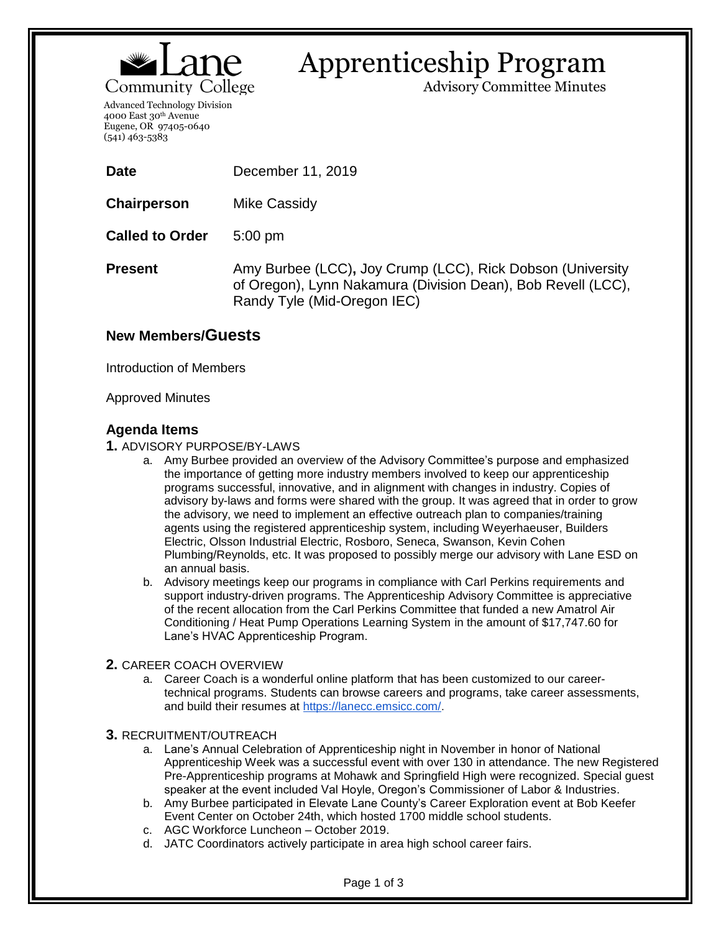

# Apprenticeship Program

Advisory Committee Minutes

Advanced Technology Division 4000 East 30th Avenue Eugene, OR 97405-0640 (541) 463-5383

| <b>Date</b>            | December 11, 2019                                                                                                                                         |
|------------------------|-----------------------------------------------------------------------------------------------------------------------------------------------------------|
| Chairperson            | <b>Mike Cassidy</b>                                                                                                                                       |
| <b>Called to Order</b> | $5:00 \text{ pm}$                                                                                                                                         |
| <b>Present</b>         | Amy Burbee (LCC), Joy Crump (LCC), Rick Dobson (University<br>of Oregon), Lynn Nakamura (Division Dean), Bob Revell (LCC),<br>Randy Tyle (Mid-Oregon IEC) |

## **New Members/Guests**

Introduction of Members

Approved Minutes

## **Agenda Items**

**1.** ADVISORY PURPOSE/BY-LAWS

- a. Amy Burbee provided an overview of the Advisory Committee's purpose and emphasized the importance of getting more industry members involved to keep our apprenticeship programs successful, innovative, and in alignment with changes in industry. Copies of advisory by-laws and forms were shared with the group. It was agreed that in order to grow the advisory, we need to implement an effective outreach plan to companies/training agents using the registered apprenticeship system, including Weyerhaeuser, Builders Electric, Olsson Industrial Electric, Rosboro, Seneca, Swanson, Kevin Cohen Plumbing/Reynolds, etc. It was proposed to possibly merge our advisory with Lane ESD on an annual basis.
- b. Advisory meetings keep our programs in compliance with Carl Perkins requirements and support industry-driven programs. The Apprenticeship Advisory Committee is appreciative of the recent allocation from the Carl Perkins Committee that funded a new Amatrol Air Conditioning / Heat Pump Operations Learning System in the amount of \$17,747.60 for Lane's HVAC Apprenticeship Program.

#### **2.** CAREER COACH OVERVIEW

a. Career Coach is a wonderful online platform that has been customized to our careertechnical programs. Students can browse careers and programs, take career assessments, and build their resumes at [https://lanecc.emsicc.com/.](https://lanecc.emsicc.com/)

## **3.** RECRUITMENT/OUTREACH

- a. Lane's Annual Celebration of Apprenticeship night in November in honor of National Apprenticeship Week was a successful event with over 130 in attendance. The new Registered Pre-Apprenticeship programs at Mohawk and Springfield High were recognized. Special guest speaker at the event included Val Hoyle, Oregon's Commissioner of Labor & Industries.
- b. Amy Burbee participated in Elevate Lane County's Career Exploration event at Bob Keefer Event Center on October 24th, which hosted 1700 middle school students.
- c. AGC Workforce Luncheon October 2019.
- d. JATC Coordinators actively participate in area high school career fairs.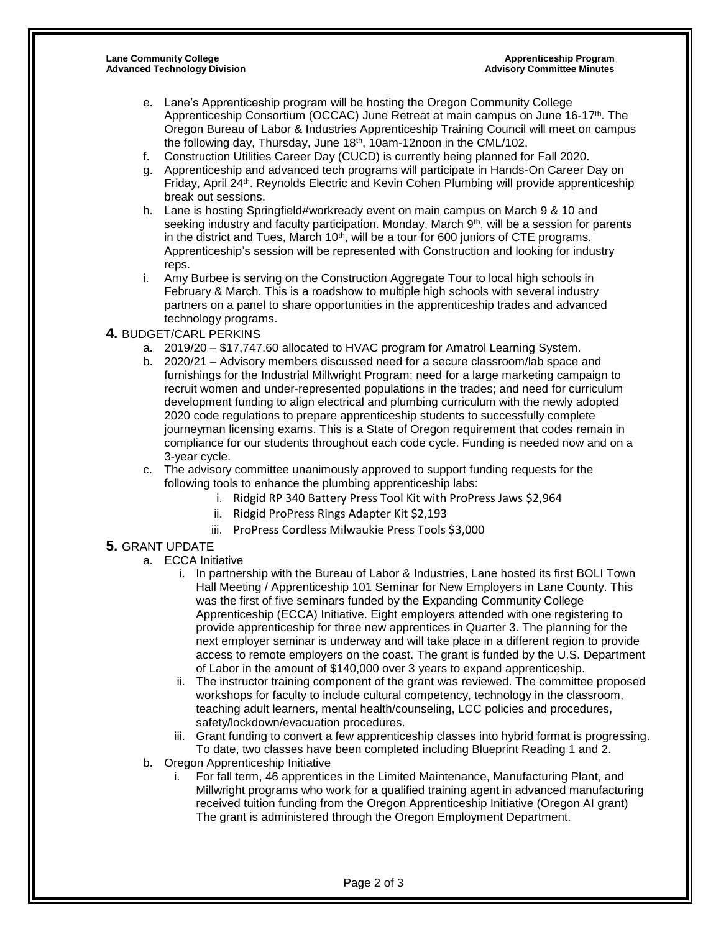- e. Lane's Apprenticeship program will be hosting the Oregon Community College Apprenticeship Consortium (OCCAC) June Retreat at main campus on June 16-17<sup>th</sup>. The Oregon Bureau of Labor & Industries Apprenticeship Training Council will meet on campus the following day, Thursday, June 18<sup>th</sup>, 10am-12noon in the CML/102.
- f. Construction Utilities Career Day (CUCD) is currently being planned for Fall 2020.
- g. Apprenticeship and advanced tech programs will participate in Hands-On Career Day on Friday, April 24th. Reynolds Electric and Kevin Cohen Plumbing will provide apprenticeship break out sessions.
- h. Lane is hosting Springfield#workready event on main campus on March 9 & 10 and seeking industry and faculty participation. Monday, March  $9<sup>th</sup>$ , will be a session for parents in the district and Tues, March  $10<sup>th</sup>$ , will be a tour for 600 juniors of CTE programs. Apprenticeship's session will be represented with Construction and looking for industry reps.
- i. Amy Burbee is serving on the Construction Aggregate Tour to local high schools in February & March. This is a roadshow to multiple high schools with several industry partners on a panel to share opportunities in the apprenticeship trades and advanced technology programs.

#### **4.** BUDGET/CARL PERKINS

- a. 2019/20 \$17,747.60 allocated to HVAC program for Amatrol Learning System.
- b. 2020/21 Advisory members discussed need for a secure classroom/lab space and furnishings for the Industrial Millwright Program; need for a large marketing campaign to recruit women and under-represented populations in the trades; and need for curriculum development funding to align electrical and plumbing curriculum with the newly adopted 2020 code regulations to prepare apprenticeship students to successfully complete journeyman licensing exams. This is a State of Oregon requirement that codes remain in compliance for our students throughout each code cycle. Funding is needed now and on a 3-year cycle.
- c. The advisory committee unanimously approved to support funding requests for the following tools to enhance the plumbing apprenticeship labs:
	- i. Ridgid RP 340 Battery Press Tool Kit with ProPress Jaws \$2,964
	- ii. Ridgid ProPress Rings Adapter Kit \$2,193
	- iii. ProPress Cordless Milwaukie Press Tools \$3,000

## **5.** GRANT UPDATE

- a. ECCA Initiative
	- i. In partnership with the Bureau of Labor & Industries, Lane hosted its first BOLI Town Hall Meeting / Apprenticeship 101 Seminar for New Employers in Lane County. This was the first of five seminars funded by the Expanding Community College Apprenticeship (ECCA) Initiative. Eight employers attended with one registering to provide apprenticeship for three new apprentices in Quarter 3. The planning for the next employer seminar is underway and will take place in a different region to provide access to remote employers on the coast. The grant is funded by the U.S. Department of Labor in the amount of \$140,000 over 3 years to expand apprenticeship.
	- ii. The instructor training component of the grant was reviewed. The committee proposed workshops for faculty to include cultural competency, technology in the classroom, teaching adult learners, mental health/counseling, LCC policies and procedures, safety/lockdown/evacuation procedures.
	- iii. Grant funding to convert a few apprenticeship classes into hybrid format is progressing. To date, two classes have been completed including Blueprint Reading 1 and 2.
- b. Oregon Apprenticeship Initiative
	- i. For fall term, 46 apprentices in the Limited Maintenance, Manufacturing Plant, and Millwright programs who work for a qualified training agent in advanced manufacturing received tuition funding from the Oregon Apprenticeship Initiative (Oregon AI grant) The grant is administered through the Oregon Employment Department.